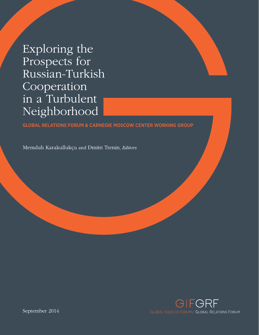Exploring the Prospects for Russian-Turkish Cooperation in a Turbulent Neighborhood

# **GLOBAL RELATIONS FORUM & CARNEGIE MOSCOW CENTER WORKING GROUP**

Memduh Karakullukçu and Dmitri Trenin, Editors

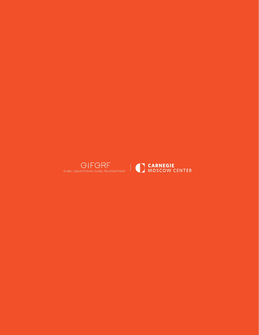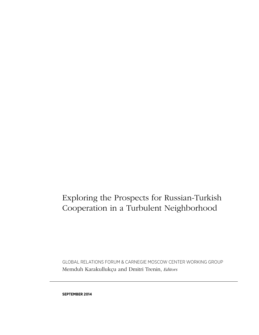# Exploring the Prospects for Russian-Turkish Cooperation in a Turbulent Neighborhood

Memduh Karakullukçu and Dmitri Trenin, *Editors* GLOBAL RELATIONS FORUM & CARNEGIE MOSCOW CENTER WORKING GROUP

**SEPTEMBER 2014**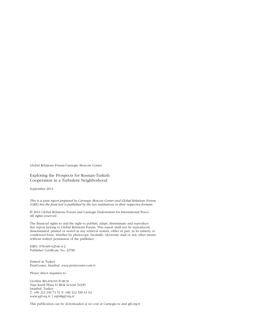Global Relations Forum-Carnegie Moscow Center

#### Exploring the Prospects for Russian-Turkish Cooperation in a Turbulent Neighborhood

September 2014

*This is a joint report prepared by Carnegie Moscow Center and Global Relations Forum (GRF) but the final text is published by the two institutions in their respective formats.* 

© 2014 Global Relations Forum and Carnegie Endowment for International Peace. All rights reserved.

The financial rights to and the right to publish, adapt, disseminate and reproduce this report belong to Global Relations Forum. This report shall not be reproduced, disseminated, printed or stored in any retrieval system, either in part, in its entirety or condensed form, whether by photocopy, facsimile, electronic mail or any other means without written permission of the publisher.

ISBN: 978-605-62546-4-2 Publisher Certificate No: 22780

Printed in Turkey PrintCenter, Istanbul. *www.printcenter.com.tr*

Please direct inquiries to:

GLOBAL RELATIONS FORUM Yapı Kredi Plaza D Blok Levent 34330 Istanbul, Turkey T: +90 212 339 71 51 F: +90 212 339 61 04 *www.gif.org.tr | info@gif.org.tr*

This publication can be downloaded at no cost at Carnegie.ru and gif.org.tr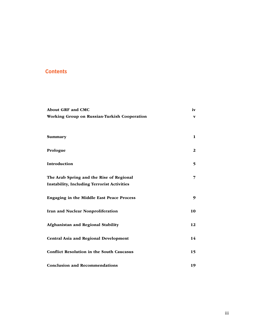# **Contents**

| <b>About GRF and CMC</b>                           | iv           |
|----------------------------------------------------|--------------|
| Working Group on Russian-Turkish Cooperation       | V            |
|                                                    |              |
|                                                    |              |
| Summary                                            | $\mathbf{1}$ |
|                                                    |              |
| Prologue                                           | $\mathbf{2}$ |
| Introduction                                       | 5            |
|                                                    |              |
| The Arab Spring and the Rise of Regional           | 7            |
| <b>Instability, Including Terrorist Activities</b> |              |
|                                                    |              |
| Engaging in the Middle East Peace Process          | 9            |
|                                                    |              |
| Iran and Nuclear Nonproliferation                  | 10           |
|                                                    | 12           |
| Afghanistan and Regional Stability                 |              |
| <b>Central Asia and Regional Development</b>       | 14           |
|                                                    |              |
| <b>Conflict Resolution in the South Caucasus</b>   | 15           |
|                                                    |              |
| <b>Conclusion and Recommendations</b>              | 19           |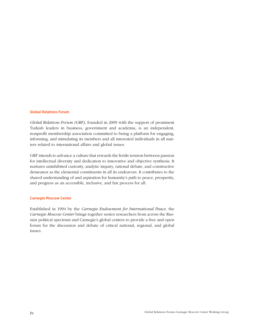#### **Global Relations Forum**

*Global Relations Forum (GRF),* founded in 2009 with the support of prominent Turkish leaders in business, government and academia, is an independent, nonprofit membership association committed to being a platform for engaging, informing, and stimulating its members and all interested individuals in all matters related to international affairs and global issues.

GRF intends to advance a culture that rewards the fertile tension between passion for intellectual diversity and dedication to innovative and objective synthesis. It nurtures uninhibited curiosity, analytic inquiry, rational debate, and constructive demeanor as the elemental constituents in all its endeavors. It contributes to the shared understanding of and aspiration for humanity's path to peace, prosperity, and progress as an accessible, inclusive, and fair process for all.

#### **Carnegie Moscow Center**

Established in 1994 by the *Carnegie Endowment for International Peace,* the *Carnegie Moscow Center* brings together senior researchers from across the Russian political spectrum and Carnegie's global centers to provide a free and open forum for the discussion and debate of critical national, regional, and global issues.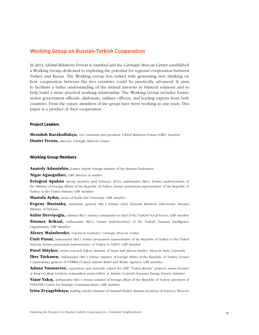## **Working Group on Russian-Turkish Cooperation**

In 2013, *Global Relations Forum* in Istanbul and the *Carnegie Moscow Center* established a Working Group dedicated to exploring the potential for regional cooperation between Turkey and Russia. The Working Group was tasked with generating new thinking on how cooperation between the two countries could be practically advanced. It aims to facilitate a better understanding of the mutual interests in bilateral relations and to help build a more practical working relationship. The Working Group includes former senior government officials, diplomats, military officers, and leading experts from both countries. From the outset, members of the group have been working as one team. This paper is a product of their cooperation.

#### **Project Leaders**

Memduh Karakullukçu, vice chairman and president, Global Relations Forum (GRF), Istanbul Dmitri Trenin, director, Carnegie Moscow Center

#### **Working Group Members**

Anatoly Adamishin, former deputy foreign minister of the Russian Federation

Nigar Ağaoğulları, GRF director of studies

Ertuğrul Apakan (group member until February 2014), ambassador (Ret.); former undersecretary of the Ministry of Foreign Affairs of the Republic of Turkey; former permanent representative of the Republic of Turkey to the United Nations; GRF member

Mustafa Aydın, rector of Kadir Has University; GRF member

Evgeny Buzinsky, lieutenant general (Ret.); former chief, External Relations Directorate, Russian Ministry of Defense

Salim Dervişoğlu, admiral (Ret.); former commander in chief of the Turkish Naval Forces; GRF member Sönmez Köksal, ambassador (Ret.); former undersecretary of the Turkish National Intelligence Organization; GRF member

Alexey Malashenko, scholar-in-residence, Carnegie Moscow Center

**Ümit Pamir,** ambassador (Ret.); former permanent representative of the Republic of Turkey to the United Nations; former permanent representative of Turkey to NATO; GRF member

Pavel Shlykov, senior research fellow, Institute of Asian and African Studies, Moscow State University

**İlter Türkmen,** ambassador (Ret.); former minister of foreign affairs of the Republic of Turkey; former commissioner general of UNRWA (United Nations Relief and Works Agency); GRF member

Adnan Vatansever, rapporteur and associate expert for GRF "Turkey-Russia" projects; senior lecturer at King's College London; nonresident senior fellow at Atlantic Council's Eurasian Energy Futures Initiative

Yaşar Yakış, ambassador (Ret.); former minister of foreign affairs of the Republic of Turkey; president of STRATİM (Center for Strategic Communication); GRF member

Irina Zvyagelskaya, leading scholar, Institute of Oriental Studies, Russian Academy of Sciences, Moscow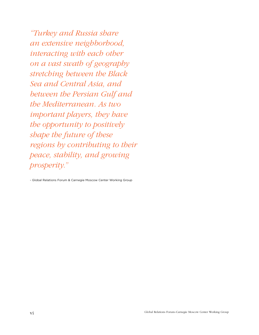*"Turkey and Russia share an extensive neighborhood, interacting with each other on a vast swath of geography stretching between the Black Sea and Central Asia, and between the Persian Gulf and the Mediterranean. As two important players, they have the opportunity to positively shape the future of these regions by contributing to their peace, stability, and growing prosperity."*

- Global Relations Forum & Carnegie Moscow Center Working Group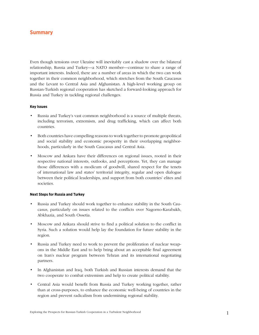# **Summary**

Even though tensions over Ukraine will inevitably cast a shadow over the bilateral relationship, Russia and Turkey—a NATO member—continue to share a range of important interests. Indeed, there are a number of areas in which the two can work together in their common neighborhood, which stretches from the South Caucasus and the Levant to Central Asia and Afghanistan. A high-level working group on Russian-Turkish regional cooperation has sketched a forward-looking approach for Russia and Turkey in tackling regional challenges.

#### **Key Issues**

- Russia and Turkey's vast common neighborhood is a source of multiple threats, including terrorism, extremism, and drug trafficking, which can affect both countries.
- Both countries have compelling reasons to work together to promote geopolitical and social stability and economic prosperity in their overlapping neighborhoods, particularly in the South Caucasus and Central Asia.
- Moscow and Ankara have their differences on regional issues, rooted in their respective national interests, outlooks, and perceptions. Yet, they can manage those differences with a modicum of goodwill, shared respect for the tenets of international law and states' territorial integrity, regular and open dialogue between their political leaderships, and support from both countries' elites and societies.

#### **Next Steps for Russia and Turkey**

- Russia and Turkey should work together to enhance stability in the South Caucasus, particularly on issues related to the conflicts over Nagorno-Karabakh, Abkhazia, and South Ossetia.
- Moscow and Ankara should strive to find a political solution to the conflict in Syria. Such a solution would help lay the foundation for future stability in the region.
- Russia and Turkey need to work to prevent the proliferation of nuclear weapons in the Middle East and to help bring about an acceptable final agreement on Iran's nuclear program between Tehran and its international negotiating partners.
- In Afghanistan and Iraq, both Turkish and Russian interests demand that the two cooperate to combat extremism and help to create political stability.
- Central Asia would benefit from Russia and Turkey working together, rather than at cross-purposes, to enhance the economic well-being of countries in the region and prevent radicalism from undermining regional stability.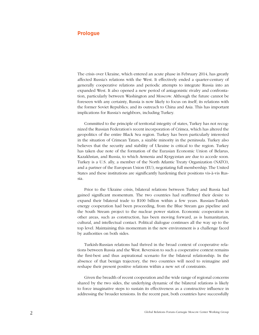# **Prologue**

The crisis over Ukraine, which entered an acute phase in February 2014, has greatly affected Russia's relations with the West. It effectively ended a quarter-century of generally cooperative relations and periodic attempts to integrate Russia into an expanded West. It also opened a new period of antagonistic rivalry and confrontation, particularly between Washington and Moscow. Although the future cannot be foreseen with any certainty, Russia is now likely to focus on itself; its relations with the former Soviet Republics; and its outreach to China and Asia. This has important implications for Russia's neighbors, including Turkey.

Committed to the principle of territorial integrity of states, Turkey has not recognized the Russian Federation's recent incorporation of Crimea, which has altered the geopolitics of the entire Black Sea region. Turkey has been particularly interested in the situation of Crimean Tatars, a sizable minority in the peninsula. Turkey also believes that the security and stability of Ukraine is critical to the region. Turkey has taken due note of the formation of the Eurasian Economic Union of Belarus, Kazakhstan, and Russia, to which Armenia and Kyrgyzstan are due to accede soon. Turkey is a U.S. ally, a member of the North Atlantic Treaty Organization (NATO), and a partner of the European Union (EU), negotiating full membership. The United States and these institutions are significantly hardening their positions vis-à-vis Russia.

Prior to the Ukraine crisis, bilateral relations between Turkey and Russia had gained significant momentum. The two countries had reaffirmed their desire to expand their bilateral trade to \$100 billion within a few years. Russian-Turkish energy cooperation had been proceeding, from the Blue Stream gas pipeline and the South Stream project to the nuclear power station. Economic cooperation in other areas, such as construction, has been moving forward, as is humanitarian, cultural, and intellectual contact. Political dialogue continues all the way up to the top level. Maintaining this momentum in the new environment is a challenge faced by authorities on both sides.

Turkish-Russian relations had thrived in the broad context of cooperative relations between Russia and the West. Reversion to such a cooperative context remains the first-best and thus aspirational scenario for the bilateral relationship. In the absence of that benign trajectory, the two countries will need to reimagine and reshape their present positive relations within a new set of constraints.

Given the breadth of recent cooperation and the wide range of regional concerns shared by the two sides, the underlying dynamic of the bilateral relations is likely to force imaginative steps to sustain its effectiveness as a constructive influence in addressing the broader tensions. In the recent past, both countries have successfully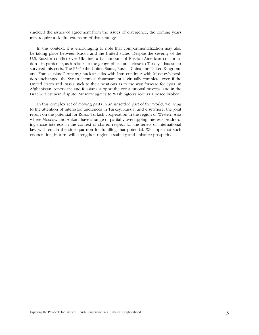shielded the issues of agreement from the issues of divergence; the coming years may require a skillful extension of that strategy.

In this context, it is encouraging to note that compartmentalization may also be taking place between Russia and the United States. Despite the severity of the U.S.-Russian conflict over Ukraine, a fair amount of Russian-American collaboration—in particular, as it relates to the geographical area close to Turkey—has so far survived this crisis. The P5+1 (the United States, Russia, China, the United Kingdom, and France, plus Germany) nuclear talks with Iran continue with Moscow's position unchanged; the Syrian chemical disarmament is virtually complete, even if the United States and Russia stick to their positions as to the way forward for Syria; in Afghanistan, Americans and Russians support the constitutional process; and in the Israeli-Palestinian dispute, Moscow agrees to Washington's role as a peace broker.

In this complex set of moving parts in an unsettled part of the world, we bring to the attention of interested audiences in Turkey, Russia, and elsewhere, the joint report on the potential for Russo-Turkish cooperation in the region of Western Asia where Moscow and Ankara have a range of partially overlapping interests. Addressing those interests in the context of shared respect for the tenets of international law will remain the sine qua non for fulfilling that potential. We hope that such cooperation, in turn, will strengthen regional stability and enhance prosperity.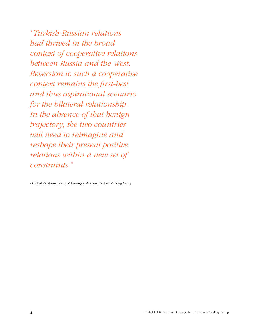*"Turkish-Russian relations had thrived in the broad context of cooperative relations between Russia and the West. Reversion to such a cooperative context remains the first-best and thus aspirational scenario for the bilateral relationship. In the absence of that benign trajectory, the two countries will need to reimagine and reshape their present positive relations within a new set of constraints."*

- Global Relations Forum & Carnegie Moscow Center Working Group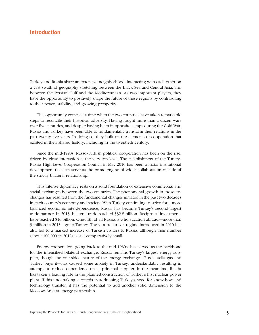# **Introduction**

Turkey and Russia share an extensive neighborhood, interacting with each other on a vast swath of geography stretching between the Black Sea and Central Asia, and between the Persian Gulf and the Mediterranean. As two important players, they have the opportunity to positively shape the future of these regions by contributing to their peace, stability, and growing prosperity.

This opportunity comes at a time when the two countries have taken remarkable steps to reconcile their historical adversity. Having fought more than a dozen wars over five centuries, and despite having been in opposite camps during the Cold War, Russia and Turkey have been able to fundamentally transform their relations in the past twenty-five years. In doing so, they built on the elements of cooperation that existed in their shared history, including in the twentieth century.

Since the mid-1990s, Russo-Turkish political cooperation has been on the rise, driven by close interaction at the very top level. The establishment of the Turkey-Russia High Level Cooperation Council in May 2010 has been a major institutional development that can serve as the prime engine of wider collaboration outside of the strictly bilateral relationship.

This intense diplomacy rests on a solid foundation of extensive commercial and social exchanges between the two countries. The phenomenal growth in those exchanges has resulted from the fundamental changes initiated in the past two decades in each country's economy and society. With Turkey continuing to strive for a more balanced economic interdependence, Russia has become Turkey's second-largest trade partner. In 2013, bilateral trade reached \$32.8 billion. Reciprocal investments have reached \$10 billion. One-fifth of all Russians who vacation abroad—more than 3 million in 2013—go to Turkey. The visa-free travel regime introduced in 2010 has also led to a marked increase of Turkish visitors to Russia, although their number (about 100,000 in 2012) is still comparatively small.

Energy cooperation, going back to the mid-1980s, has served as the backbone for the intensified bilateral exchange. Russia remains Turkey's largest energy supplier, though the one-sided nature of the energy exchange—Russia sells gas and Turkey buys it—has caused some anxiety in Turkey, understandably resulting in attempts to reduce dependence on its principal supplier. In the meantime, Russia has taken a leading role in the planned construction of Turkey's first nuclear power plant. If this undertaking succeeds in addressing Turkey's need for know-how and technology transfer, it has the potential to add another solid dimension to the Moscow-Ankara energy partnership.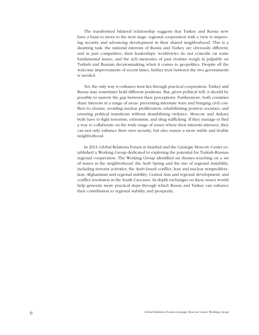The transformed bilateral relationship suggests that Turkey and Russia now have a basis to move to the next stage: regional cooperation with a view to improving security and advancing development in their shared neighborhood. This is a daunting task: the national interests of Russia and Turkey are obviously different, and in part competitive; their leaderships' worldviews do not coincide on some fundamental issues; and the rich memories of past rivalries weigh in palpably on Turkish and Russian decisionmaking when it comes to geopolitics. Despite all the welcome improvements of recent times, further trust between the two governments is needed.

Yet, the only way to enhance trust lies through practical cooperation. Turkey and Russia may sometimes hold different positions. But, given political will, it should be possible to narrow the gap between their perceptions. Furthermore, both countries share interests in a range of areas: preventing interstate wars and bringing civil conflicts to closure; avoiding nuclear proliferation; rehabilitating postwar societies; and ensuring political transitions without destabilizing violence. Moscow and Ankara both have to fight terrorism, extremism, and drug trafficking. If they manage to find a way to collaborate on the wide range of issues where their interests intersect, they can not only enhance their own security, but also ensure a more stable and livable neighborhood.

In 2013, Global Relations Forum in Istanbul and the Carnegie Moscow Center established a Working Group dedicated to exploring the potential for Turkish-Russian regional cooperation. The Working Group identified six themes touching on a set of issues in the neighborhood: the Arab Spring and the rise of regional instability, including terrorist activities; the Arab-Israeli conflict; Iran and nuclear nonproliferation; Afghanistan and regional stability; Central Asia and regional development; and conflict resolution in the South Caucasus. In-depth exchanges on these issues would help generate more practical steps through which Russia and Turkey can enhance their contribution to regional stability and prosperity.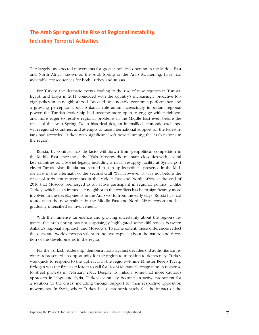# **The Arab Spring and the Rise of Regional Instability, Including Terrorist Activities**

The largely unexpected movements for greater political opening in the Middle East and North Africa, known as the Arab Spring or the Arab Awakening, have had inevitable consequences for both Turkey and Russia.

For Turkey, the dramatic events leading to the rise of new regimes in Tunisia, Egypt, and Libya in 2011 coincided with the country's increasingly proactive foreign policy in its neighborhood. Boosted by a notable economic performance and a growing perception about Ankara's role as an increasingly important regional power, the Turkish leadership had become more open to engage with neighbors and more eager to resolve regional problems in the Middle East even before the onset of the Arab Spring. Deep historical ties, an intensified economic exchange with regional countries, and attempts to raise international support for the Palestinians had accorded Turkey with significant "soft power" among the Arab nations in the region.

Russia, by contrast, has de facto withdrawn from geopolitical competition in the Middle East since the early 1990s. Moscow did maintain close ties with several key countries as a Soviet legacy, including a naval resupply facility at Syria's port city of Tartus. Also, Russia had started to step up its political presence in the Middle East in the aftermath of the second Gulf War. However, it was not before the onset of turbulent movements in the Middle East and North Africa at the end of 2010 that Moscow reemerged as an active participant in regional politics. Unlike Turkey, which as an immediate neighbor to the conflicts has been significantly more involved in the developments in the Arab world from the early days, Russia has had to adjust to the new realities in the Middle East and North Africa region and has gradually intensified its involvement.

With the immense turbulence and growing uncertainty about the region's regimes, the Arab Spring has not surprisingly highlighted some differences between Ankara's regional approach and Moscow's. To some extent, these differences reflect the disparate worldviews prevalent in the two capitals about the nature and direction of the developments in the region.

For the Turkish leadership, demonstrations against decades-old authoritarian regimes represented an opportunity for the region to transition to democracy. Turkey was quick to respond to the upheaval in the region—Prime Minister Recep Tayyip Erdoğan was the first state leader to call for Hosni Mubarak's resignation in response to street protests in February 2011. Despite its initially somewhat more cautious approach in Libya and Syria, Turkey eventually became an active proponent for a solution for the crises, including through support for their respective opposition movements. In Syria, where Turkey has disproportionately felt the impact of the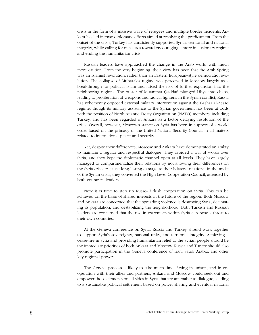crisis in the form of a massive wave of refugees and multiple border incidents, Ankara has led intense diplomatic efforts aimed at resolving the predicament. From the outset of the crisis, Turkey has consistently supported Syria's territorial and national integrity, while calling for measures toward encouraging a more inclusionary regime and ending the humanitarian crisis.

Russian leaders have approached the change in the Arab world with much more caution. From the very beginning, their view has been that the Arab Spring was an Islamist revolution, rather than an Eastern European–style democratic revolution. The collapse of Mubarak's regime was perceived in Moscow largely as a breakthrough for political Islam and raised the risk of further expansion into the neighboring regions. The ouster of Muammar Qaddafi plunged Libya into chaos, leading to proliferation of weapons and radical fighters. In the Syrian conflict, Russia has vehemently opposed external military intervention against the Bashar al-Assad regime, though its military assistance to the Syrian government has been at odds with the position of North Atlantic Treaty Organization (NATO) members, including Turkey, and has been regarded in Ankara as a factor delaying resolution of the crisis. Overall, however, Moscow's stance on Syria has been in support of a world order based on the primacy of the United Nations Security Council in all matters related to international peace and security.

Yet, despite their differences, Moscow and Ankara have demonstrated an ability to maintain a regular and respectful dialogue. They avoided a war of words over Syria, and they kept the diplomatic channel open at all levels. They have largely managed to compartmentalize their relations by not allowing their differences on the Syria crisis to cause long-lasting damage to their bilateral relations. In the midst of the Syrian crisis, they convened the High Level Cooperation Council, attended by both countries' leaders.

Now it is time to step up Russo-Turkish cooperation on Syria. This can be achieved on the basis of shared interests in the future of the region. Both Moscow and Ankara are concerned that the spreading violence is destroying Syria, decimating its population, and destabilizing the neighborhood. Both Turkish and Russian leaders are concerned that the rise in extremism within Syria can pose a threat to their own countries.

At the Geneva conference on Syria, Russia and Turkey should work together to support Syria's sovereignty, national unity, and territorial integrity. Achieving a cease-fire in Syria and providing humanitarian relief to the Syrian people should be the immediate priorities of both Ankara and Moscow. Russia and Turkey should also promote participation in the Geneva conference of Iran, Saudi Arabia, and other key regional powers.

The Geneva process is likely to take much time. Acting in unison, and in cooperation with their allies and partners, Ankara and Moscow could seek out and empower those elements on all sides in Syria that are amenable to dialogue, leading to a sustainable political settlement based on power sharing and eventual national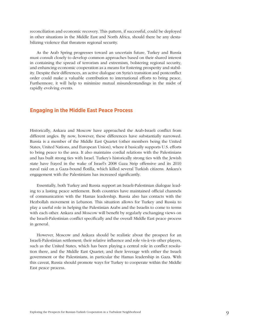reconciliation and economic recovery. This pattern, if successful, could be deployed in other situations in the Middle East and North Africa, should there be any destabilizing violence that threatens regional security.

As the Arab Spring progresses toward an uncertain future, Turkey and Russia must consult closely to develop common approaches based on their shared interest in containing the spread of terrorism and extremism, bolstering regional security, and enhancing economic cooperation as a means for fostering prosperity and stability. Despite their differences, an active dialogue on Syria's transition and postconflict order could make a valuable contribution to international efforts to bring peace. Furthermore, it will help to minimize mutual misunderstandings in the midst of rapidly evolving events.

## **Engaging in the Middle East Peace Process**

Historically, Ankara and Moscow have approached the Arab-Israeli conflict from different angles. By now, however, these differences have substantially narrowed. Russia is a member of the Middle East Quartet (other members being the United States, United Nations, and European Union), where it basically supports U.S. efforts to bring peace to the area. It also maintains cordial relations with the Palestinians and has built strong ties with Israel. Turkey's historically strong ties with the Jewish state have frayed in the wake of Israel's 2008 Gaza Strip offensive and its 2010 naval raid on a Gaza-bound flotilla, which killed several Turkish citizens. Ankara's engagement with the Palestinians has increased significantly.

Essentially, both Turkey and Russia support an Israeli-Palestinian dialogue leading to a lasting peace settlement. Both countries have maintained official channels of communication with the Hamas leadership. Russia also has contacts with the Hezbollah movement in Lebanon. This situation allows for Turkey and Russia to play a useful role in helping the Palestinian Arabs and the Israelis to come to terms with each other. Ankara and Moscow will benefit by regularly exchanging views on the Israeli-Palestinian conflict specifically and the overall Middle East peace process in general.

However, Moscow and Ankara should be realistic about the prospect for an Israeli-Palestinian settlement; their relative influence and role vis-à-vis other players, such as the United States, which has been playing a central role in conflict resolution there, and the Middle East Quartet; and their leverage with either the Israeli government or the Palestinians, in particular the Hamas leadership in Gaza. With this caveat, Russia should promote ways for Turkey to cooperate within the Middle East peace process.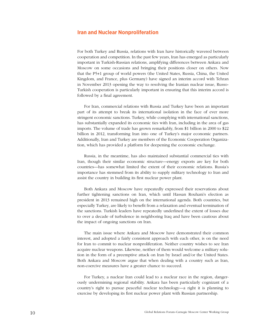## **Iran and Nuclear Nonproliferation**

For both Turkey and Russia, relations with Iran have historically wavered between cooperation and competition. In the past few years, Iran has emerged as particularly important in Turkish-Russian relations, amplifying differences between Ankara and Moscow on some occasions and bringing their positions closer on others. Now that the P5+1 group of world powers (the United States, Russia, China, the United Kingdom, and France, plus Germany) have signed an interim accord with Tehran in November 2013 opening the way to resolving the Iranian nuclear issue, Russo-Turkish cooperation is particularly important in ensuring that this interim accord is followed by a final agreement.

For Iran, commercial relations with Russia and Turkey have been an important part of its attempt to break its international isolation in the face of ever more stringent economic sanctions. Turkey, while complying with international sanctions, has substantially expanded its economic ties with Iran, including in the area of gas imports. The volume of trade has grown remarkably, from \$1 billion in 2000 to \$22 billion in 2012, transforming Iran into one of Turkey's major economic partners. Additionally, Iran and Turkey are members of the Economic Cooperation Organization, which has provided a platform for deepening the economic exchange.

Russia, in the meantime, has also maintained substantial commercial ties with Iran, though their similar economic structure—energy exports are key for both countries—has somewhat limited the extent of their economic relations. Russia's importance has stemmed from its ability to supply military technology to Iran and assist the country in building its first nuclear power plant.

Both Ankara and Moscow have repeatedly expressed their reservations about further tightening sanctions on Iran, which until Hassan Rouhani's election as president in 2013 remained high on the international agenda. Both countries, but especially Turkey, are likely to benefit from a relaxation and eventual termination of the sanctions. Turkish leaders have repeatedly underlined the extent of losses due to over a decade of turbulence in neighboring Iraq and have been cautious about the impact of ongoing sanctions on Iran.

The main issue where Ankara and Moscow have demonstrated their common interest, and adopted a fairly consistent approach with each other, is on the need for Iran to commit to nuclear nonproliferation. Neither country wishes to see Iran acquire nuclear weapons. Likewise, neither of them would welcome a military solution in the form of a preemptive attack on Iran by Israel and/or the United States. Both Ankara and Moscow argue that when dealing with a country such as Iran, non-coercive measures have a greater chance to succeed.

For Turkey, a nuclear Iran could lead to a nuclear race in the region, dangerously undermining regional stability. Ankara has been particularly cognizant of a country's right to pursue peaceful nuclear technology—a right it is planning to exercise by developing its first nuclear power plant with Russian partnership.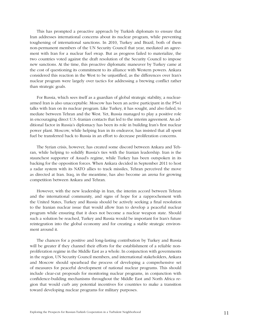This has prompted a proactive approach by Turkish diplomats to ensure that Iran addresses international concerns about its nuclear program, while preventing toughening of international sanctions. In 2010, Turkey and Brazil, both of them non-permanent members of the UN Security Council that year, mediated an agreement with Iran for a nuclear fuel swap. But as progress failed to materialize, the two countries voted against the draft resolution of the Security Council to impose new sanctions. At the time, this proactive diplomatic maneuver by Turkey came at the cost of questioning its commitment to its alliance with Western powers. Ankara considered this reaction in the West to be unjustified, as the differences over Iran's nuclear program were largely over tactics for addressing a brewing conflict rather than strategic goals.

For Russia, which sees itself as a guardian of global strategic stability, a nucleararmed Iran is also unacceptable. Moscow has been an active participant in the P5+1 talks with Iran on its nuclear program. Like Turkey, it has sought, and also failed, to mediate between Tehran and the West. Yet, Russia managed to play a positive role in encouraging direct U.S.-Iranian contacts that led to the interim agreement. An additional factor in Russia's diplomacy has been its role in building Iran's first nuclear power plant. Moscow, while helping Iran in its endeavor, has insisted that all spent fuel be transferred back to Russia in an effort to decrease proliferation concerns.

The Syrian crisis, however, has created some discord between Ankara and Tehran, while helping to solidify Russia's ties with the Iranian leadership. Iran is the staunchest supporter of Assad's regime, while Turkey has been outspoken in its backing for the opposition forces. When Ankara decided in September 2011 to host a radar system with its NATO allies to track missiles, Tehran perceived the move as directed at Iran. Iraq, in the meantime, has also become an arena for growing competition between Ankara and Tehran.

However, with the new leadership in Iran, the interim accord between Tehran and the international community, and signs of hope for a rapprochement with the United States, Turkey and Russia should be actively seeking a final resolution to the Iranian nuclear issue that would allow Iran to develop a peaceful nuclear program while ensuring that it does not become a nuclear weapon state. Should such a solution be reached, Turkey and Russia would be important for Iran's future reintegration into the global economy and for creating a stable strategic environment around it.

The chances for a positive and long-lasting contribution by Turkey and Russia will be greater if they channel their efforts for the establishment of a reliable nonproliferation regime in the Middle East as a whole. In conjunction with governments in the region, UN Security Council members, and international stakeholders, Ankara and Moscow should spearhead the process of developing a comprehensive set of measures for peaceful development of national nuclear programs. This should include clear-cut proposals for monitoring nuclear programs, in conjunction with confidence-building mechanisms throughout the Middle East and North Africa region that would curb any potential incentives for countries to make a transition toward developing nuclear programs for military purposes.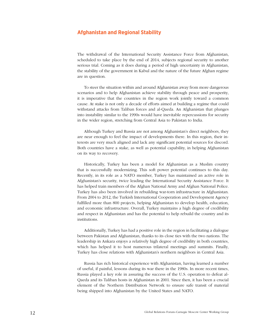# **Afghanistan and Regional Stability**

The withdrawal of the International Security Assistance Force from Afghanistan, scheduled to take place by the end of 2014, subjects regional security to another serious trial. Coming as it does during a period of high uncertainty in Afghanistan, the stability of the government in Kabul and the nature of the future Afghan regime are in question.

To steer the situation within and around Afghanistan away from more dangerous scenarios and to help Afghanistan achieve stability through peace and prosperity, it is imperative that the countries in the region work jointly toward a common cause. At stake is not only a decade of efforts aimed at building a regime that could withstand attacks from Taliban forces and al-Qaeda. An Afghanistan that plunges into instability similar to the 1990s would have inevitable repercussions for security in the wider region, stretching from Central Asia to Pakistan to India.

Although Turkey and Russia are not among Afghanistan's direct neighbors, they are near enough to feel the impact of developments there. In this region, their interests are very much aligned and lack any significant potential sources for discord. Both countries have a stake, as well as potential capability, in helping Afghanistan on its way to recovery.

Historically, Turkey has been a model for Afghanistan as a Muslim country that is successfully modernizing. This soft power potential continues to this day. Recently, in its role as a NATO member, Turkey has maintained an active role in Afghanistan's security, twice leading the International Security Assistance Force. It has helped train members of the Afghan National Army and Afghan National Police. Turkey has also been involved in rebuilding war-torn infrastructure in Afghanistan. From 2004 to 2012, the Turkish International Cooperation and Development Agency fulfilled more than 800 projects, helping Afghanistan to develop health, education, and economic infrastructure. Overall, Turkey maintains a high degree of credibility and respect in Afghanistan and has the potential to help rebuild the country and its institutions.

Additionally, Turkey has had a positive role in the region in facilitating a dialogue between Pakistan and Afghanistan, thanks to its close ties with the two nations. The leadership in Ankara enjoys a relatively high degree of credibility in both countries, which has helped it to host numerous trilateral meetings and summits. Finally, Turkey has close relations with Afghanistan's northern neighbors in Central Asia.

Russia has rich historical experience with Afghanistan, having learned a number of useful, if painful, lessons during its war there in the 1980s. In more recent times, Russia played a key role in assuring the success of the U.S. operation to defeat al-Qaeda and its Taliban hosts in Afghanistan in 2001. Since then, it has been a crucial element of the Northern Distribution Network to ensure safe transit of material being shipped into Afghanistan by the United States and NATO.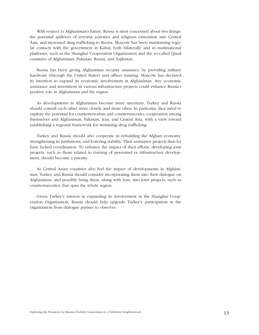With respect to Afghanistan's future, Russia is most concerned about two things: the potential spillover of terrorist activities and religious extremism into Central Asia, and increased drug trafficking to Russia. Moscow has been maintaining regular contacts with the government in Kabul, both bilaterally and in multinational platforms, such as the Shanghai Cooperation Organization and the so-called Quad countries of Afghanistan, Pakistan, Russia, and Tajikistan.

Russia has been giving Afghanistan security assistance by providing military hardware (through the United States) and officer training. Moscow has declared its intention to expand its economic involvement in Afghanistan. Any economic assistance and investment in various infrastructure projects could enhance Russia's positive role in Afghanistan and the region.

As developments in Afghanistan become more uncertain, Turkey and Russia should consult each other more closely and more often. In particular, they need to explore the potential for counterterrorism and counternarcotics cooperation among themselves and Afghanistan, Pakistan, Iran, and Central Asia, with a view toward establishing a regional framework for stemming drug trafficking.

Turkey and Russia should also cooperate in rebuilding the Afghan economy, strengthening its institutions, and fostering stability. Their assistance projects thus far have lacked coordination. To enhance the impact of their efforts, developing joint projects, such as those related to training of personnel or infrastructure development, should become a priority.

As Central Asian countries also feel the impact of developments in Afghanistan, Turkey and Russia should consider incorporating them into their dialogue on Afghanistan, and possibly bring them, along with Iran, into joint projects, such as counternarcotics, that span the whole region.

Given Turkey's interest in expanding its involvement in the Shanghai Cooperation Organization, Russia should help upgrade Turkey's participation in the organization from dialogue partner to observer.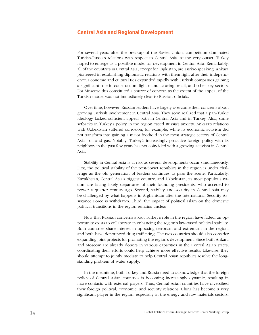# **Central Asia and Regional Development**

For several years after the breakup of the Soviet Union, competition dominated Turkish-Russian relations with respect to Central Asia. At the very outset, Turkey hoped to emerge as a possible model for development in Central Asia. Remarkably, all of the countries in Central Asia, except for Tajikistan, are Turkic-speaking. Ankara pioneered in establishing diplomatic relations with them right after their independence. Economic and cultural ties expanded rapidly with Turkish companies gaining a significant role in construction, light manufacturing, retail, and other key sectors. For Moscow, this constituted a source of concern as the extent of the appeal of the Turkish model was not immediately clear to Russian officials.

Over time, however, Russian leaders have largely overcome their concerns about growing Turkish involvement in Central Asia. They soon realized that a pan-Turkic ideology lacked sufficient appeal both in Central Asia and in Turkey. Also, some setbacks in Turkey's policy in the region eased Russia's anxiety. Ankara's relations with Uzbekistan suffered corrosion, for example, while its economic activism did not transform into gaining a major foothold in the most strategic sectors of Central Asia—oil and gas. Notably, Turkey's increasingly proactive foreign policy with its neighbors in the past few years has not coincided with a growing activism in Central Asia.

Stability in Central Asia is at risk as several developments occur simultaneously. First, the political stability of the post-Soviet republics in the region is under challenge as the old generation of leaders continues to pass the scene. Particularly, Kazakhstan, Central Asia's biggest country, and Uzbekistan, its most populous nation, are facing likely departures of their founding presidents, who acceded to power a quarter century ago. Second, stability and security in Central Asia may be challenged by what happens in Afghanistan after the International Security Assistance Force is withdrawn. Third, the impact of political Islam on the domestic political transitions in the region remains unclear.

Now that Russian concerns about Turkey's role in the region have faded, an opportunity exists to collaborate in enhancing the region's law-based political stability. Both countries share interest in opposing terrorism and extremism in the region, and both have denounced drug trafficking. The two countries should also consider expanding joint projects for promoting the region's development. Since both Ankara and Moscow are already donors in various capacities in the Central Asian states, coordinating their efforts could help achieve more effective results. Likewise, they should attempt to jointly mediate to help Central Asian republics resolve the longstanding problem of water supply.

In the meantime, both Turkey and Russia need to acknowledge that the foreign policy of Central Asian countries is becoming increasingly dynamic, resulting in more contacts with external players. Thus, Central Asian countries have diversified their foreign political, economic, and security relations. China has become a very significant player in the region, especially in the energy and raw materials sectors,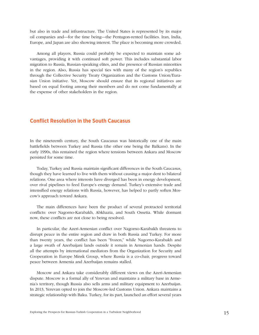but also in trade and infrastructure. The United States is represented by its major oil companies and—for the time being—the Pentagon-rented facilities. Iran, India, Europe, and Japan are also showing interest. The place is becoming more crowded.

Among all players, Russia could probably be expected to maintain some advantages, providing it with continued soft power. This includes substantial labor migration to Russia, Russian-speaking elites, and the presence of Russian minorities in the region. Also, Russia has special ties with many of the region's republics through the Collective Security Treaty Organization and the Customs Union/Eurasian Union initiative. Yet, Moscow should ensure that its regional initiatives are based on equal footing among their members and do not come fundamentally at the expense of other stakeholders in the region.

## **Conflict Resolution in the South Caucasus**

In the nineteenth century, the South Caucasus was historically one of the main battlefields between Turkey and Russia (the other one being the Balkans). In the early 1990s, this remained the region where tensions between Ankara and Moscow persisted for some time.

Today, Turkey and Russia maintain significant differences in the South Caucasus, though they have learned to live with them without causing a major dent to bilateral relations. One area where interests have diverged has been in energy development, over rival pipelines to feed Europe's energy demand. Turkey's extensive trade and intensified energy relations with Russia, however, has helped to partly soften Moscow's approach toward Ankara.

The main differences have been the product of several protracted territorial conflicts: over Nagorno-Karabakh, Abkhazia, and South Ossetia. While dormant now, these conflicts are not close to being resolved.

In particular, the Azeri-Armenian conflict over Nagorno-Karabakh threatens to disrupt peace in the entire region and draw in both Russia and Turkey. For more than twenty years, the conflict has been "frozen," while Nagorno-Karabakh and a large swath of Azerbaijani lands outside it remain in Armenian hands. Despite all the attempts by international mediators from the Organization for Security and Cooperation in Europe Minsk Group, where Russia is a co-chair, progress toward peace between Armenia and Azerbaijan remains stalled.

Moscow and Ankara take considerably different views on the Azeri-Armenian dispute. Moscow is a formal ally of Yerevan and maintains a military base in Armenia's territory, though Russia also sells arms and military equipment to Azerbaijan. In 2013, Yerevan opted to join the Moscow-led Customs Union. Ankara maintains a strategic relationship with Baku. Turkey, for its part, launched an effort several years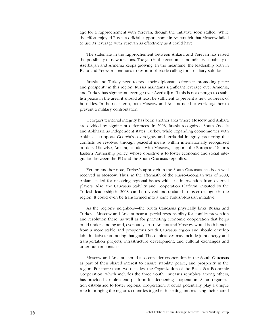ago for a rapprochement with Yerevan, though the initiative soon stalled. While the effort enjoyed Russia's official support, some in Ankara felt that Moscow failed to use its leverage with Yerevan as effectively as it could have.

The stalemate in the rapprochement between Ankara and Yerevan has raised the possibility of new tensions. The gap in the economic and military capability of Azerbaijan and Armenia keeps growing. In the meantime, the leadership both in Baku and Yerevan continues to resort to rhetoric calling for a military solution.

Russia and Turkey need to pool their diplomatic efforts in promoting peace and prosperity in this region. Russia maintains significant leverage over Armenia, and Turkey has significant leverage over Azerbaijan. If this is not enough to establish peace in the area, it should at least be sufficient to prevent a new outbreak of hostilities. In the near term, both Moscow and Ankara need to work together to prevent a military confrontation.

Georgia's territorial integrity has been another area where Moscow and Ankara are divided by significant differences. In 2008, Russia recognized South Ossetia and Abkhazia as independent states. Turkey, while expanding economic ties with Abkhazia, supports Georgia's sovereignty and territorial integrity, preferring that conflicts be resolved through peaceful means within internationally recognized borders. Likewise, Ankara, at odds with Moscow, supports the European Union's Eastern Partnership policy, whose objective is to foster economic and social integration between the EU and the South Caucasus republics.

Yet, on another note, Turkey's approach in the South Caucasus has been well received in Moscow. Thus, in the aftermath of the Russo-Georgian war of 2008, Ankara called for resolving regional issues with less intervention from external players. Also, the Caucasus Stability and Cooperation Platform, initiated by the Turkish leadership in 2008, can be revived and updated to foster dialogue in the region. It could even be transformed into a joint Turkish-Russian initiative.

As the region's neighbors—the South Caucasus physically links Russia and Turkey—Moscow and Ankara bear a special responsibility for conflict prevention and resolution there, as well as for promoting economic cooperation that helps build understanding and, eventually, trust. Ankara and Moscow would both benefit from a more stable and prosperous South Caucasus region and should develop joint initiatives promoting that goal. These initiatives may include joint energy and transportation projects, infrastructure development, and cultural exchanges and other human contacts.

Moscow and Ankara should also consider cooperation in the South Caucasus as part of their shared interest to ensure stability, peace, and prosperity in the region. For more than two decades, the Organization of the Black Sea Economic Cooperation, which includes the three South Caucasus republics among others, has provided a multilateral platform for deepening cooperation. As an organization established to foster regional cooperation, it could potentially play a unique role in bringing the region's countries together in setting and realizing their shared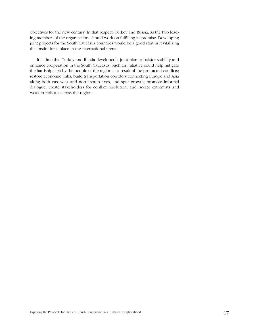objectives for the new century. In that respect, Turkey and Russia, as the two leading members of the organization, should work on fulfilling its promise. Developing joint projects for the South Caucasus countries would be a good start in revitalizing this institution's place in the international arena.

It is time that Turkey and Russia developed a joint plan to bolster stability and enhance cooperation in the South Caucasus. Such an initiative could help mitigate the hardships felt by the people of the region as a result of the protracted conflicts; restore economic links, build transportation corridors connecting Europe and Asia along both east-west and north-south axes, and spur growth; promote informal dialogue; create stakeholders for conflict resolution; and isolate extremists and weaken radicals across the region.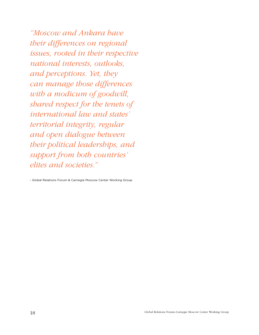*"Moscow and Ankara have their differences on regional issues, rooted in their respective national interests, outlooks, and perceptions. Yet, they can manage those differences with a modicum of goodwill, shared respect for the tenets of international law and states' territorial integrity, regular and open dialogue between their political leaderships, and support from both countries' elites and societies."*

- Global Relations Forum & Carnegie Moscow Center Working Group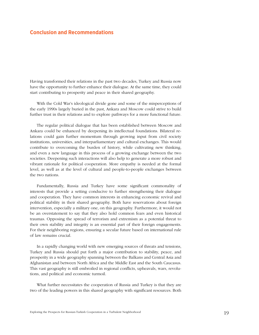# **Conclusion and Recommendations**

Having transformed their relations in the past two decades, Turkey and Russia now have the opportunity to further enhance their dialogue. At the same time, they could start contributing to prosperity and peace in their shared geography.

With the Cold War's ideological divide gone and some of the misperceptions of the early 1990s largely buried in the past, Ankara and Moscow could strive to build further trust in their relations and to explore pathways for a more functional future.

The regular political dialogue that has been established between Moscow and Ankara could be enhanced by deepening its intellectual foundations. Bilateral relations could gain further momentum through growing input from civil society institutions, universities, and interparliamentary and cultural exchanges. This would contribute to overcoming the burden of history, while cultivating new thinking, and even a new language in this process of a growing exchange between the two societies. Deepening such interactions will also help to generate a more robust and vibrant rationale for political cooperation. More empathy is needed at the formal level, as well as at the level of cultural and people-to-people exchanges between the two nations.

Fundamentally, Russia and Turkey have some significant commonality of interests that provide a setting conducive to further strengthening their dialogue and cooperation. They have common interests in enhancing economic revival and political stability in their shared geography. Both have reservations about foreign intervention, especially a military one, on this geography. Furthermore, it would not be an overstatement to say that they also hold common fears and even historical traumas. Opposing the spread of terrorism and extremism as a potential threat to their own stability and integrity is an essential part of their foreign engagements. For their neighboring regions, ensuring a secular future based on international rule of law remains crucial.

In a rapidly changing world with new emerging sources of threats and tensions, Turkey and Russia should put forth a major contribution to stability, peace, and prosperity in a wide geography spanning between the Balkans and Central Asia and Afghanistan and between North Africa and the Middle East and the South Caucasus. This vast geography is still embroiled in regional conflicts, upheavals, wars, revolutions, and political and economic turmoil.

What further necessitates the cooperation of Russia and Turkey is that they are two of the leading powers in this shared geography with significant resources. Both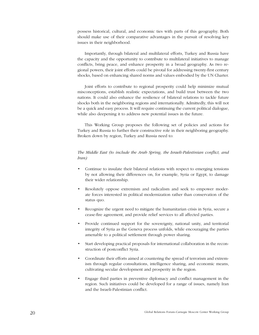possess historical, cultural, and economic ties with parts of this geography. Both should make use of their comparative advantages in the pursuit of resolving key issues in their neighborhood.

Importantly, through bilateral and multilateral efforts, Turkey and Russia have the capacity and the opportunity to contribute to multilateral initiatives to manage conflicts, bring peace, and enhance prosperity in a broad geography. As two regional powers, their joint efforts could be pivotal for addressing twenty-first century shocks, based on enhancing shared norms and values embodied by the UN Charter.

Joint efforts to contribute to regional prosperity could help minimize mutual misconceptions, establish realistic expectations, and build trust between the two nations. It could also enhance the resilience of bilateral relations to tackle future shocks both in the neighboring regions and internationally. Admittedly, this will not be a quick and easy process. It will require continuing the current political dialogue, while also deepening it to address new potential issues in the future.

This Working Group proposes the following set of policies and actions for Turkey and Russia to further their constructive role in their neighboring geography. Broken down by region, Turkey and Russia need to:

#### *The Middle East (to include the Arab Spring, the Israeli-Palestinian conflict, and Iran)*

- Continue to insulate their bilateral relations with respect to emerging tensions by not allowing their differences on, for example, Syria or Egypt, to damage their wider relationship.
- Resolutely oppose extremism and radicalism and seek to empower moderate forces interested in political modernization rather than conservation of the status quo.
- Recognize the urgent need to mitigate the humanitarian crisis in Syria, secure a cease-fire agreement, and provide relief services to all affected parties.
- Provide continued support for the sovereignty, national unity, and territorial integrity of Syria as the Geneva process unfolds, while encouraging the parties amenable to a political settlement through power sharing.
- Start developing practical proposals for international collaboration in the reconstruction of postconflict Syria.
- Coordinate their efforts aimed at countering the spread of terrorism and extremism through regular consultations, intelligence sharing, and economic means, cultivating secular development and prosperity in the region.
- Engage third parties in preventive diplomacy and conflict management in the region. Such initiatives could be developed for a range of issues, namely Iran and the Israeli-Palestinian conflict.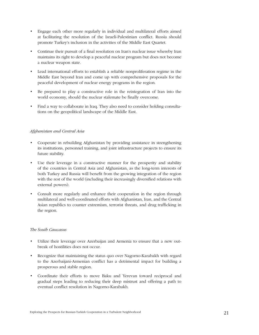- Engage each other more regularly in individual and multilateral efforts aimed at facilitating the resolution of the Israeli-Palestinian conflict. Russia should promote Turkey's inclusion in the activities of the Middle East Quartet.
- Continue their pursuit of a final resolution on Iran's nuclear issue whereby Iran maintains its right to develop a peaceful nuclear program but does not become a nuclear weapon state.
- Lead international efforts to establish a reliable nonproliferation regime in the Middle East beyond Iran and come up with comprehensive proposals for the peaceful development of nuclear energy programs in the region.
- Be prepared to play a constructive role in the reintegration of Iran into the world economy, should the nuclear stalemate be finally overcome.
- Find a way to collaborate in Iraq. They also need to consider holding consultations on the geopolitical landscape of the Middle East.

## *Afghanistan and Central Asia*

- Cooperate in rebuilding Afghanistan by providing assistance in strengthening its institutions, personnel training, and joint infrastructure projects to ensure its future stability.
- Use their leverage in a constructive manner for the prosperity and stability of the countries in Central Asia and Afghanistan, as the long-term interests of both Turkey and Russia will benefit from the growing integration of the region with the rest of the world (including their increasingly diversified relations with external powers).
- Consult more regularly and enhance their cooperation in the region through multilateral and well-coordinated efforts with Afghanistan, Iran, and the Central Asian republics to counter extremism, terrorist threats, and drug trafficking in the region.

#### *The South Caucasus*

- Utilize their leverage over Azerbaijan and Armenia to ensure that a new outbreak of hostilities does not occur.
- Recognize that maintaining the status quo over Nagorno-Karabakh with regard to the Azerbaijani-Armenian conflict has a detrimental impact for building a prosperous and stable region.
- Coordinate their efforts to move Baku and Yerevan toward reciprocal and gradual steps leading to reducing their deep mistrust and offering a path to eventual conflict resolution in Nagorno-Karabakh.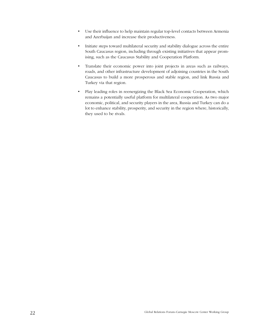- Use their influence to help maintain regular top-level contacts between Armenia and Azerbaijan and increase their productiveness.
- Initiate steps toward multilateral security and stability dialogue across the entire South Caucasus region, including through existing initiatives that appear promising, such as the Caucasus Stability and Cooperation Platform.
- Translate their economic power into joint projects in areas such as railways, roads, and other infrastructure development of adjoining countries in the South Caucasus to build a more prosperous and stable region, and link Russia and Turkey via that region.
- Play leading roles in reenergizing the Black Sea Economic Cooperation, which remains a potentially useful platform for multilateral cooperation. As two major economic, political, and security players in the area, Russia and Turkey can do a lot to enhance stability, prosperity, and security in the region where, historically, they used to be rivals.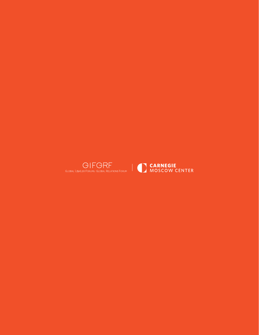